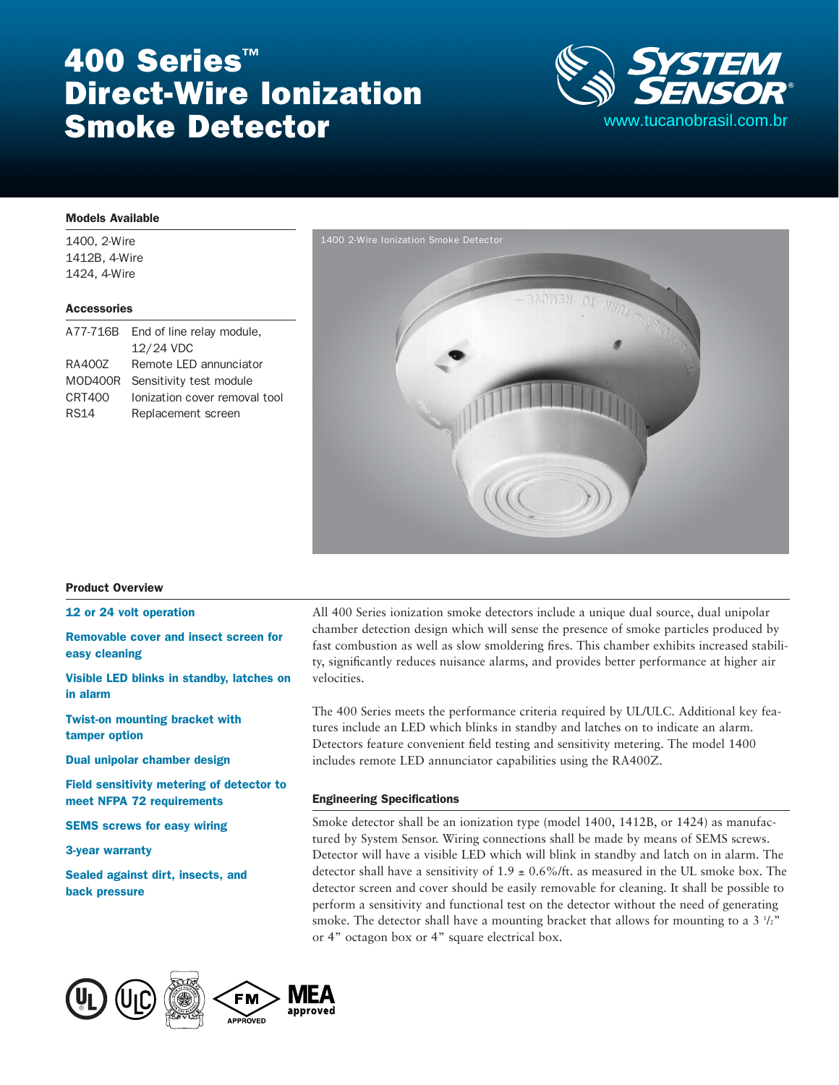# 400 Series<sup>™</sup> Direct-Wire Ionization Smoke Detector



#### Models Available

1400, 2-Wire 1412B, 4-Wire 1424, 4-Wire

#### **Accessories**

| A77-716B    | End of line relay module,     |
|-------------|-------------------------------|
|             | 12/24 VDC                     |
| RA400Z      | Remote LED annunciator        |
| MOD400R     | Sensitivity test module       |
| CRT400      | Ionization cover removal tool |
| <b>RS14</b> | Replacement screen            |



#### Product Overview

#### 12 or 24 volt operation

Removable cover and insect screen for easy cleaning

Visible LED blinks in standby, latches on in alarm

Twist-on mounting bracket with tamper option

Dual unipolar chamber design

Field sensitivity metering of detector to meet NFPA 72 requirements

SEMS screws for easy wiring

3-year warranty

Sealed against dirt, insects, and back pressure



All 400 Series ionization smoke detectors include a unique dual source, dual unipolar chamber detection design which will sense the presence of smoke particles produced by fast combustion as well as slow smoldering fires. This chamber exhibits increased stability, significantly reduces nuisance alarms, and provides better performance at higher air velocities.

The 400 Series meets the performance criteria required by UL/ULC. Additional key features include an LED which blinks in standby and latches on to indicate an alarm. Detectors feature convenient field testing and sensitivity metering. The model 1400 includes remote LED annunciator capabilities using the RA400Z.

#### Engineering Specifications

Smoke detector shall be an ionization type (model 1400, 1412B, or 1424) as manufactured by System Sensor. Wiring connections shall be made by means of SEMS screws. Detector will have a visible LED which will blink in standby and latch on in alarm. The detector shall have a sensitivity of  $1.9 \pm 0.6\%$ /ft. as measured in the UL smoke box. The detector screen and cover should be easily removable for cleaning. It shall be possible to perform a sensitivity and functional test on the detector without the need of generating smoke. The detector shall have a mounting bracket that allows for mounting to a 3  $1/2$ " or 4" octagon box or 4" square electrical box.